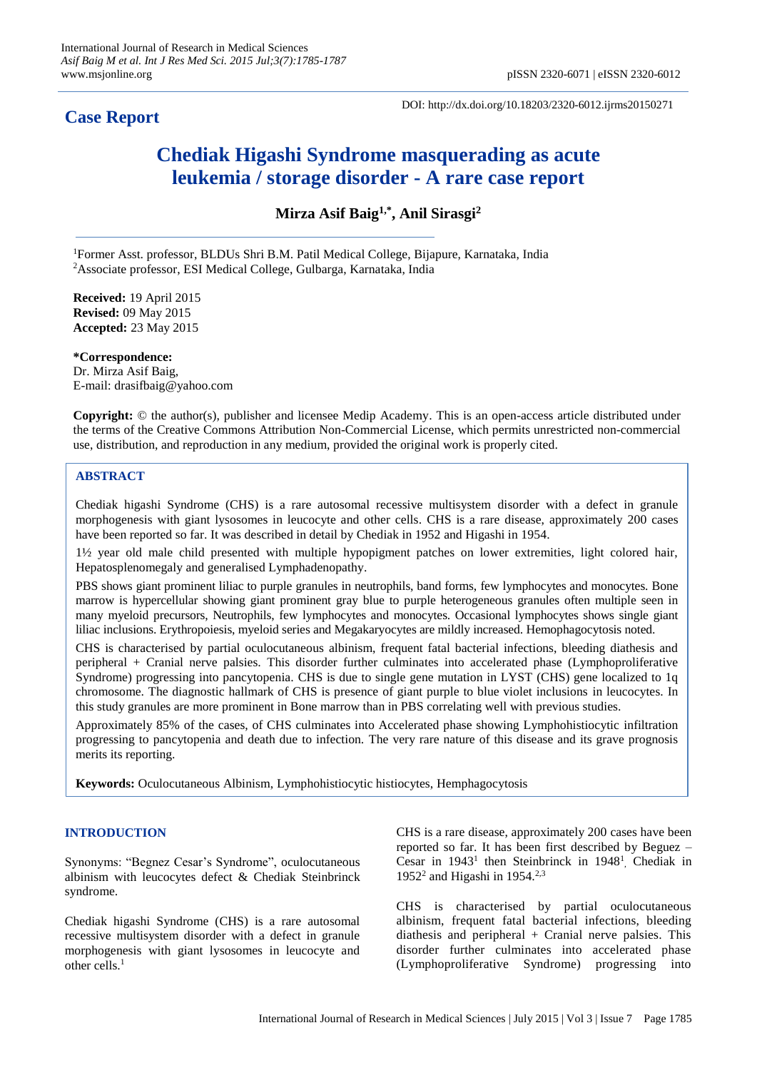# **Case Report**

DOI: http://dx.doi.org/10.18203/2320-6012.ijrms20150271

# **Chediak Higashi Syndrome masquerading as acute leukemia / storage disorder - A rare case report**

**Mirza Asif Baig1,\* , Anil Sirasgi<sup>2</sup>**

<sup>1</sup>Former Asst. professor, BLDUs Shri B.M. Patil Medical College, Bijapure, Karnataka, India <sup>2</sup>Associate professor, ESI Medical College, Gulbarga, Karnataka, India

**Received:** 19 April 2015 **Revised:** 09 May 2015 **Accepted:** 23 May 2015

**\*Correspondence:** Dr. Mirza Asif Baig, E-mail: drasifbaig@yahoo.com

**Copyright:** © the author(s), publisher and licensee Medip Academy. This is an open-access article distributed under the terms of the Creative Commons Attribution Non-Commercial License, which permits unrestricted non-commercial use, distribution, and reproduction in any medium, provided the original work is properly cited.

### **ABSTRACT**

Chediak higashi Syndrome (CHS) is a rare autosomal recessive multisystem disorder with a defect in granule morphogenesis with giant lysosomes in leucocyte and other cells. CHS is a rare disease, approximately 200 cases have been reported so far. It was described in detail by Chediak in 1952 and Higashi in 1954.

1½ year old male child presented with multiple hypopigment patches on lower extremities, light colored hair, Hepatosplenomegaly and generalised Lymphadenopathy.

PBS shows giant prominent liliac to purple granules in neutrophils, band forms, few lymphocytes and monocytes. Bone marrow is hypercellular showing giant prominent gray blue to purple heterogeneous granules often multiple seen in many myeloid precursors, Neutrophils, few lymphocytes and monocytes. Occasional lymphocytes shows single giant liliac inclusions. Erythropoiesis, myeloid series and Megakaryocytes are mildly increased. Hemophagocytosis noted.

CHS is characterised by partial oculocutaneous albinism, frequent fatal bacterial infections, bleeding diathesis and peripheral + Cranial nerve palsies. This disorder further culminates into accelerated phase (Lymphoproliferative Syndrome) progressing into pancytopenia. CHS is due to single gene mutation in LYST (CHS) gene localized to 1q chromosome. The diagnostic hallmark of CHS is presence of giant purple to blue violet inclusions in leucocytes. In this study granules are more prominent in Bone marrow than in PBS correlating well with previous studies.

Approximately 85% of the cases, of CHS culminates into Accelerated phase showing Lymphohistiocytic infiltration progressing to pancytopenia and death due to infection. The very rare nature of this disease and its grave prognosis merits its reporting.

**Keywords:** Oculocutaneous Albinism, Lymphohistiocytic histiocytes, Hemphagocytosis

## **INTRODUCTION**

Synonyms: "Begnez Cesar's Syndrome", oculocutaneous albinism with leucocytes defect & Chediak Steinbrinck syndrome.

Chediak higashi Syndrome (CHS) is a rare autosomal recessive multisystem disorder with a defect in granule morphogenesis with giant lysosomes in leucocyte and other cells. 1

CHS is a rare disease, approximately 200 cases have been reported so far. It has been first described by Beguez – Cesar in  $1943<sup>1</sup>$  then Steinbrinck in  $1948<sup>1</sup>$ , Chediak in 1952<sup>2</sup> and Higashi in 1954.<sup>2,3</sup>

CHS is characterised by partial oculocutaneous albinism, frequent fatal bacterial infections, bleeding diathesis and peripheral  $+$  Cranial nerve palsies. This disorder further culminates into accelerated phase (Lymphoproliferative Syndrome) progressing into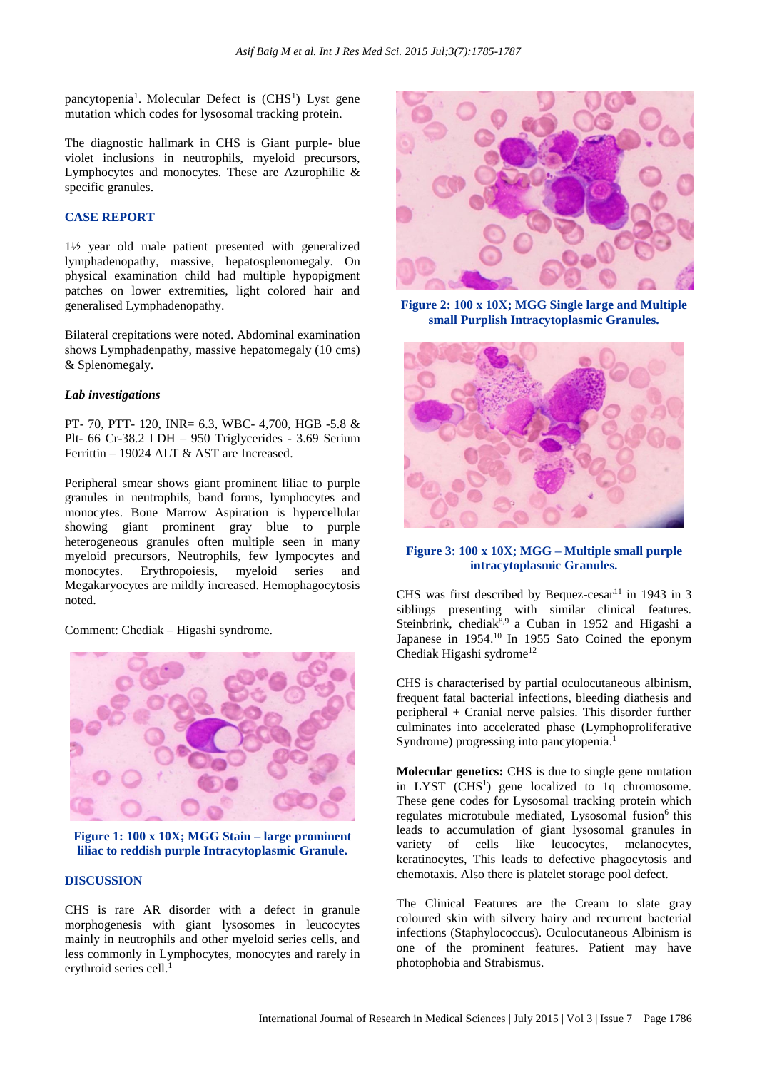pancytopenia<sup>1</sup>. Molecular Defect is (CHS<sup>1</sup>) Lyst gene mutation which codes for lysosomal tracking protein.

The diagnostic hallmark in CHS is Giant purple- blue violet inclusions in neutrophils, myeloid precursors, Lymphocytes and monocytes. These are Azurophilic & specific granules.

### **CASE REPORT**

1½ year old male patient presented with generalized lymphadenopathy, massive, hepatosplenomegaly. On physical examination child had multiple hypopigment patches on lower extremities, light colored hair and generalised Lymphadenopathy.

Bilateral crepitations were noted. Abdominal examination shows Lymphadenpathy, massive hepatomegaly (10 cms) & Splenomegaly.

#### *Lab investigations*

PT- 70, PTT- 120, INR= 6.3, WBC- 4,700, HGB -5.8 & Plt- 66 Cr-38.2 LDH – 950 Triglycerides - 3.69 Serium Ferrittin – 19024 ALT & AST are Increased.

Peripheral smear shows giant prominent liliac to purple granules in neutrophils, band forms, lymphocytes and monocytes. Bone Marrow Aspiration is hypercellular showing giant prominent gray blue to purple heterogeneous granules often multiple seen in many myeloid precursors, Neutrophils, few lympocytes and monocytes. Erythropoiesis, myeloid series and Megakaryocytes are mildly increased. Hemophagocytosis noted.

#### Comment: Chediak – Higashi syndrome.



**Figure 1: 100 x 10X; MGG Stain – large prominent liliac to reddish purple Intracytoplasmic Granule.**

#### **DISCUSSION**

CHS is rare AR disorder with a defect in granule morphogenesis with giant lysosomes in leucocytes mainly in neutrophils and other myeloid series cells, and less commonly in Lymphocytes, monocytes and rarely in erythroid series cell.<sup>1</sup>



**Figure 2: 100 x 10X; MGG Single large and Multiple small Purplish Intracytoplasmic Granules.**



#### **Figure 3: 100 x 10X; MGG – Multiple small purple intracytoplasmic Granules.**

CHS was first described by Bequez-cesar<sup>11</sup> in 1943 in 3 siblings presenting with similar clinical features. Steinbrink, chediak $8,9$  a Cuban in 1952 and Higashi a Japanese in  $1954$ .<sup>10</sup> In 1955 Sato Coined the eponym Chediak Higashi sydrome<sup>12</sup>

CHS is characterised by partial oculocutaneous albinism, frequent fatal bacterial infections, bleeding diathesis and peripheral + Cranial nerve palsies. This disorder further culminates into accelerated phase (Lymphoproliferative Syndrome) progressing into pancytopenia. 1

**Molecular genetics:** CHS is due to single gene mutation in LYST (CHS<sup>1</sup>) gene localized to 1q chromosome. These gene codes for Lysosomal tracking protein which regulates microtubule mediated, Lysosomal fusion<sup>6</sup> this leads to accumulation of giant lysosomal granules in variety of cells like leucocytes, melanocytes, keratinocytes, This leads to defective phagocytosis and chemotaxis. Also there is platelet storage pool defect.

The Clinical Features are the Cream to slate gray coloured skin with silvery hairy and recurrent bacterial infections (Staphylococcus). Oculocutaneous Albinism is one of the prominent features. Patient may have photophobia and Strabismus.